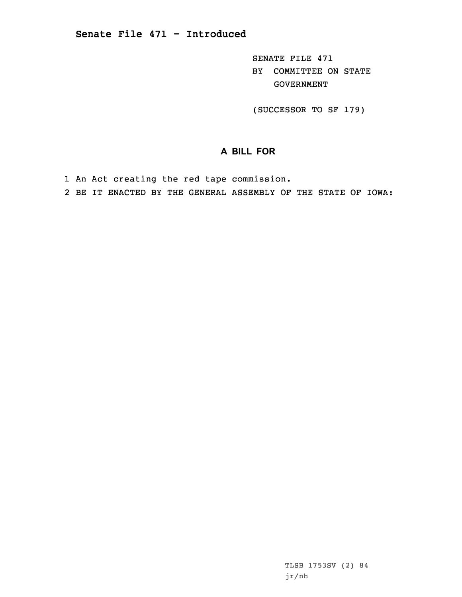SENATE FILE 471 BY COMMITTEE ON STATE GOVERNMENT

(SUCCESSOR TO SF 179)

## **A BILL FOR**

1 An Act creating the red tape commission.

2 BE IT ENACTED BY THE GENERAL ASSEMBLY OF THE STATE OF IOWA: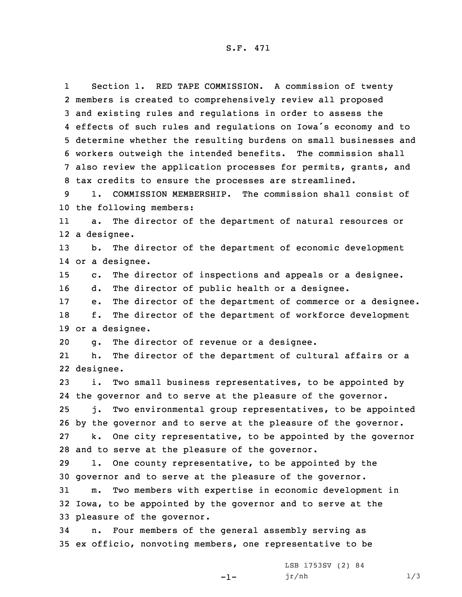S.F. 471

1 Section 1. RED TAPE COMMISSION. <sup>A</sup> commission of twenty members is created to comprehensively review all proposed and existing rules and regulations in order to assess the effects of such rules and regulations on Iowa's economy and to determine whether the resulting burdens on small businesses and workers outweigh the intended benefits. The commission shall also review the application processes for permits, grants, and tax credits to ensure the processes are streamlined.

9 1. COMMISSION MEMBERSHIP. The commission shall consist of 10 the following members:

11 a. The director of the department of natural resources or 12 <sup>a</sup> designee.

13 b. The director of the department of economic development 14 or <sup>a</sup> designee.

15 c. The director of inspections and appeals or <sup>a</sup> designee.

16 d. The director of public health or <sup>a</sup> designee.

17 e. The director of the department of commerce or <sup>a</sup> designee. 18 f. The director of the department of workforce development 19 or <sup>a</sup> designee.

20 g. The director of revenue or <sup>a</sup> designee.

21 h. The director of the department of cultural affairs or <sup>a</sup> 22 designee.

 i. Two small business representatives, to be appointed by the governor and to serve at the pleasure of the governor. j. Two environmental group representatives, to be appointed by the governor and to serve at the pleasure of the governor. k. One city representative, to be appointed by the governor

28 and to serve at the pleasure of the governor.

29 l. One county representative, to be appointed by the 30 governor and to serve at the pleasure of the governor.

31 m. Two members with expertise in economic development in 32 Iowa, to be appointed by the governor and to serve at the 33 pleasure of the governor.

-1-

34 n. Four members of the general assembly serving as 35 ex officio, nonvoting members, one representative to be

> LSB 1753SV (2) 84 jr/nh 1/3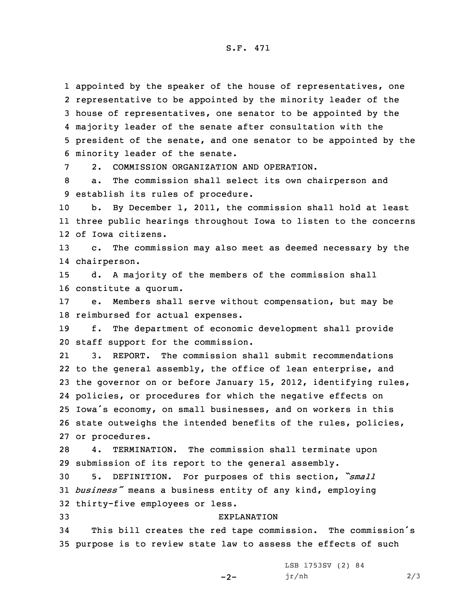S.F. 471

 appointed by the speaker of the house of representatives, one representative to be appointed by the minority leader of the house of representatives, one senator to be appointed by the majority leader of the senate after consultation with the president of the senate, and one senator to be appointed by the minority leader of the senate.

7 2. COMMISSION ORGANIZATION AND OPERATION.

8 a. The commission shall select its own chairperson and 9 establish its rules of procedure.

10 b. By December 1, 2011, the commission shall hold at least 11 three public hearings throughout Iowa to listen to the concerns 12 of Iowa citizens.

13 c. The commission may also meet as deemed necessary by the 14 chairperson.

15 d. <sup>A</sup> majority of the members of the commission shall 16 constitute <sup>a</sup> quorum.

17 e. Members shall serve without compensation, but may be 18 reimbursed for actual expenses.

19 f. The department of economic development shall provide 20 staff support for the commission.

21 3. REPORT. The commission shall submit recommendations 22 to the general assembly, the office of lean enterprise, and the governor on or before January 15, 2012, identifying rules, policies, or procedures for which the negative effects on Iowa's economy, on small businesses, and on workers in this state outweighs the intended benefits of the rules, policies, or procedures.

28 4. TERMINATION. The commission shall terminate upon 29 submission of its report to the general assembly.

<sup>30</sup> 5. DEFINITION. For purposes of this section, *"small* <sup>31</sup> *business"* means <sup>a</sup> business entity of any kind, employing 32 thirty-five employees or less.

## 33 EXPLANATION

<sup>34</sup> This bill creates the red tape commission. The commission's 35 purpose is to review state law to assess the effects of such

 $-2-$ 

LSB 1753SV (2) 84 jr/nh 2/3